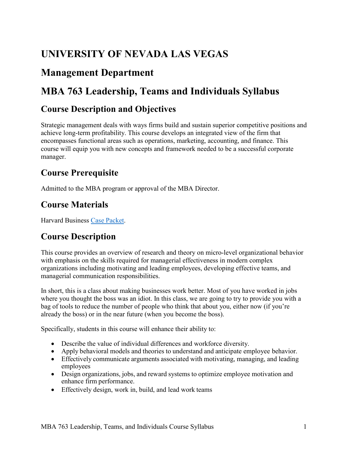# **UNIVERSITY OF NEVADA LAS VEGAS**

# **Management Department**

# **MBA 763 Leadership, Teams and Individuals Syllabus**

### **Course Description and Objectives**

 Strategic management deals with ways firms build and sustain superior competitive positions and achieve long-term profitability. This course develops an integrated view of the firm that encompasses functional areas such as operations, marketing, accounting, and finance. This course will equip you with new concepts and framework needed to be a successful corporate manager.

### **Course Prerequisite**

Admitted to the MBA program or approval of the MBA Director.

## **Course Materials**

Harvard Business [Case Packet.](https://hbsp.harvard.edu/import/792439)

# **Course Description**

This course provides an overview of research and theory on micro-level organizational behavior with emphasis on the skills required for managerial effectiveness in modern complex organizations including motivating and leading employees, developing effective teams, and managerial communication responsibilities.

 where you thought the boss was an idiot. In this class, we are going to try to provide you with a bag of tools to reduce the number of people who think that about you, either now (if you're already the boss) or in the near future (when you become the boss). In short, this is a class about making businesses work better. Most of you have worked in jobs

Specifically, students in this course will enhance their ability to:

- Describe the value of individual differences and workforce diversity.
- Apply behavioral models and theories to understand and anticipate employee behavior.
- • Effectively communicate arguments associated with motivating, managing, and leading employees
- • Design organizations, jobs, and reward systems to optimize employee motivation and enhance firm performance.
- Effectively design, work in, build, and lead work teams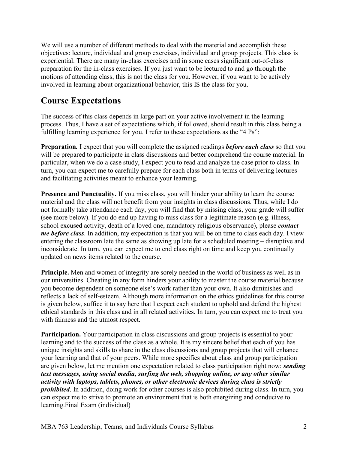preparation for the in-class exercises. If you just want to be lectured to and go through the involved in learning about organizational behavior, this IS the class for you. We will use a number of different methods to deal with the material and accomplish these objectives: lecture, individual and group exercises, individual and group projects. This class is experiential. There are many in-class exercises and in some cases significant out-of-class motions of attending class, this is not the class for you. However, if you want to be actively

### **Course Expectations**

 fulfilling learning experience for you. I refer to these expectations as the "4 Ps": The success of this class depends in large part on your active involvement in the learning process. Thus, I have a set of expectations which, if followed, should result in this class being a

 **Preparation***.* I expect that you will complete the assigned readings *before each class* so that you particular, when we do a case study, I expect you to read and analyze the case prior to class. In turn, you can expect me to carefully prepare for each class both in terms of delivering lectures and facilitating activities meant to enhance your learning. will be prepared to participate in class discussions and better comprehend the course material. In

 **Presence and Punctuality.** If you miss class, you will hinder your ability to learn the course not formally take attendance each day, you will find that by missing class, your grade will suffer *me before class*. In addition, my expectation is that you will be on time to class each day. I view updated on news items related to the course. material and the class will not benefit from your insights in class discussions. Thus, while I do (see more below). If you do end up having to miss class for a legitimate reason (e.g. illness, school excused activity, death of a loved one, mandatory religious observance), please *contact*  entering the classroom late the same as showing up late for a scheduled meeting – disruptive and inconsiderate. In turn, you can expect me to end class right on time and keep you continually

 is given below, suffice it to say here that I expect each student to uphold and defend the highest with fairness and the utmost respect. **Principle.** Men and women of integrity are sorely needed in the world of business as well as in our universities. Cheating in any form hinders your ability to master the course material because you become dependent on someone else's work rather than your own. It also diminishes and reflects a lack of self-esteem. Although more information on the ethics guidelines for this course ethical standards in this class and in all related activities. In turn, you can expect me to treat you

 learning and to the success of the class as a whole. It is my sincere belief that each of you has **Participation.** Your participation in class discussions and group projects is essential to your unique insights and skills to share in the class discussions and group projects that will enhance your learning and that of your peers. While more specifics about class and group participation are given below, let me mention one expectation related to class participation right now: *sending text messages, using social media, surfing the web, shopping online, or any other similar activity with laptops, tablets, phones, or other electronic devices during class is strictly prohibited*. In addition, doing work for other courses is also prohibited during class. In turn, you can expect me to strive to promote an environment that is both energizing and conducive to learning.Final Exam (individual)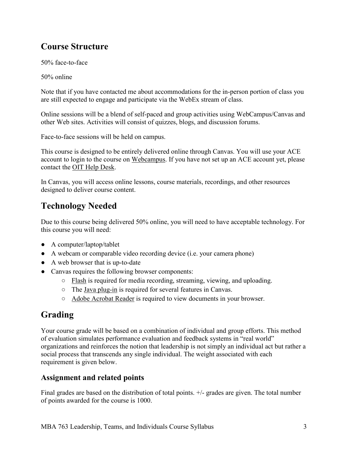## **Course Structure**

50% face-to-face

50% online

 Note that if you have contacted me about accommodations for the in-person portion of class you are still expected to engage and participate via the WebEx stream of class.

Online sessions will be a blend of self-paced and group activities using WebCampus/Canvas and other Web sites. Activities will consist of quizzes, blogs, and discussion forums.

Face-to-face sessions will be held on campus.

 This course is designed to be entirely delivered online through Canvas. You will use your ACE account to login to the course on [Webcampus.](https://webcampus.unlv.edu/) If you have not set up an ACE account yet, please contact the [OIT Help Desk.](http://oit.unlv.edu/help)

In Canvas, you will access online lessons, course materials, recordings, and other resources designed to deliver course content.

# **Technology Needed**

Due to this course being delivered 50% online, you will need to have acceptable technology. For this course you will need:

- A computer/laptop/tablet
- A webcam or comparable video recording device (i.e. your camera phone)
- A web browser that is up-to-date
- Canvas requires the following browser components:
	- [Flash i](http://helpx.adobe.com/flash-player.html)s required for media recording, streaming, viewing, and uploading.
	- The [Java plug-in i](http://www.java.com/en/download/testjava.jsp)s required for several features in Canvas.
	- [Adobe Acrobat Reader i](http://get.adobe.com/reader/)s required to view documents in your browser.

# **Grading**

Your course grade will be based on a combination of individual and group efforts. This method of evaluation simulates performance evaluation and feedback systems in "real world" organizations and reinforces the notion that leadership is not simply an individual act but rather a social process that transcends any single individual. The weight associated with each requirement is given below.

#### **Assignment and related points**

Final grades are based on the distribution of total points. +/- grades are given. The total number of points awarded for the course is 1000.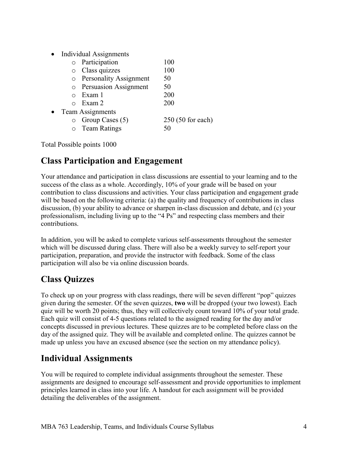• Individual Assignments

|           |                  | o Participation          | 100                |
|-----------|------------------|--------------------------|--------------------|
|           |                  | o Class quizzes          | 100                |
|           |                  | o Personality Assignment | 50                 |
|           |                  | o Persuasion Assignment  | 50                 |
|           |                  | Exam 1                   | 200                |
|           |                  | $\circ$ Exam 2           | 200                |
| $\bullet$ | Team Assignments |                          |                    |
|           | $\circ$          | Group Cases (5)          | $250(50$ for each) |
|           | $\circ$          | <b>Team Ratings</b>      | 50                 |
|           |                  |                          |                    |

Total Possible points 1000

### **Class Participation and Engagement**

 success of the class as a whole. Accordingly, 10% of your grade will be based on your contribution to class discussions and activities. Your class participation and engagement grade discussion, (b) your ability to advance or sharpen in-class discussion and debate, and (c) your professionalism, including living up to the "4 Ps" and respecting class members and their Your attendance and participation in class discussions are essential to your learning and to the will be based on the following criteria: (a) the quality and frequency of contributions in class contributions.

 participation, preparation, and provide the instructor with feedback. Some of the class participation will also be via online discussion boards. In addition, you will be asked to complete various self-assessments throughout the semester which will be discussed during class. There will also be a weekly survey to self-report your

# **Class Quizzes**

 quiz will be worth 20 points; thus, they will collectively count toward 10% of your total grade. To check up on your progress with class readings, there will be seven different "pop" quizzes given during the semester. Of the seven quizzes, **two** will be dropped (your two lowest). Each Each quiz will consist of 4-5 questions related to the assigned reading for the day and/or concepts discussed in previous lectures. These quizzes are to be completed before class on the day of the assigned quiz. They will be available and completed online. The quizzes cannot be made up unless you have an excused absence (see the section on my attendance policy).

### **Individual Assignments**

You will be required to complete individual assignments throughout the semester. These assignments are designed to encourage self-assessment and provide opportunities to implement principles learned in class into your life. A handout for each assignment will be provided detailing the deliverables of the assignment.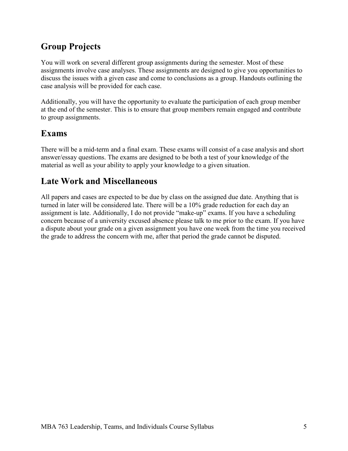# **Group Projects**

You will work on several different group assignments during the semester. Most of these assignments involve case analyses. These assignments are designed to give you opportunities to discuss the issues with a given case and come to conclusions as a group. Handouts outlining the case analysis will be provided for each case.

Additionally, you will have the opportunity to evaluate the participation of each group member at the end of the semester. This is to ensure that group members remain engaged and contribute to group assignments.

### **Exams**

There will be a mid-term and a final exam. These exams will consist of a case analysis and short answer/essay questions. The exams are designed to be both a test of your knowledge of the material as well as your ability to apply your knowledge to a given situation.

### **Late Work and Miscellaneous**

 All papers and cases are expected to be due by class on the assigned due date. Anything that is turned in later will be considered late. There will be a 10% grade reduction for each day an assignment is late. Additionally, I do not provide "make-up" exams. If you have a scheduling concern because of a university excused absence please talk to me prior to the exam. If you have a dispute about your grade on a given assignment you have one week from the time you received the grade to address the concern with me, after that period the grade cannot be disputed.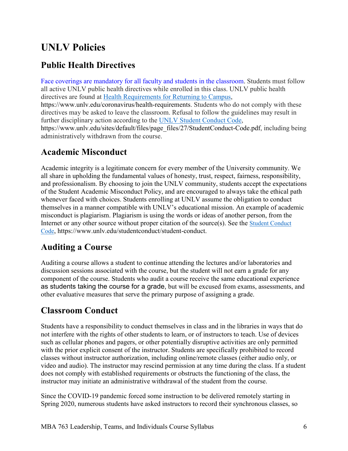# **UNLV Policies**

### **Public Health Directives**

directives are found at **Health Requirements for Returning to Campus**, Face coverings are mandatory for all faculty and students in the classroom. Students must follow all active UNLV public health directives while enrolled in this class. UNLV public health <https://www.unlv.edu/coronavirus/health-requirements>. Students who do not comply with these directives may be asked to leave the classroom. Refusal to follow the guidelines may result in further disciplinary action according to the [UNLV Student Conduct Code,](https://www.unlv.edu/sites/default/files/page_files/27/StudentConduct-Code.pdf) [https://www.unlv.edu/sites/default/files/page\\_files/27/StudentConduct-Code.pdf](https://www.unlv.edu/sites/default/files/page_files/27/StudentConduct-Code.pdf), including being administratively withdrawn from the course.

#### **Academic Misconduct**

Academic integrity is a legitimate concern for every member of the University community. We all share in upholding the fundamental values of honesty, trust, respect, fairness, responsibility, and professionalism. By choosing to join the UNLV community, students accept the expectations of the Student Academic Misconduct Policy, and are encouraged to always take the ethical path whenever faced with choices. Students enrolling at UNLV assume the obligation to conduct themselves in a manner compatible with UNLV's educational mission. An example of academic misconduct is plagiarism. Plagiarism is using the words or ideas of another person, from the Internet or any other source without proper citation of the source(s). See the [Student Conduct](https://www.unlv.edu/sites/default/files/page_files/27/StudentConduct-Code.pdf)  [Code,](https://www.unlv.edu/sites/default/files/page_files/27/StudentConduct-Code.pdf)<https://www.unlv.edu/studentconduct/student-conduct>.

### **Auditing a Course**

 discussion sessions associated with the course, but the student will not earn a grade for any other evaluative measures that serve the primary purpose of assigning a grade. Auditing a course allows a student to continue attending the lectures and/or laboratories and component of the course. Students who audit a course receive the same educational experience as students taking the course for a grade, but will be excused from exams, assessments, and

### **Classroom Conduct**

 video and audio). The instructor may rescind permission at any time during the class. If a student Students have a responsibility to conduct themselves in class and in the libraries in ways that do not interfere with the rights of other students to learn, or of instructors to teach. Use of devices such as cellular phones and pagers, or other potentially disruptive activities are only permitted with the prior explicit consent of the instructor. Students are specifically prohibited to record classes without instructor authorization, including online/remote classes (either audio only, or does not comply with established requirements or obstructs the functioning of the class, the instructor may initiate an administrative withdrawal of the student from the course.

Since the COVID-19 pandemic forced some instruction to be delivered remotely starting in Spring 2020, numerous students have asked instructors to record their synchronous classes, so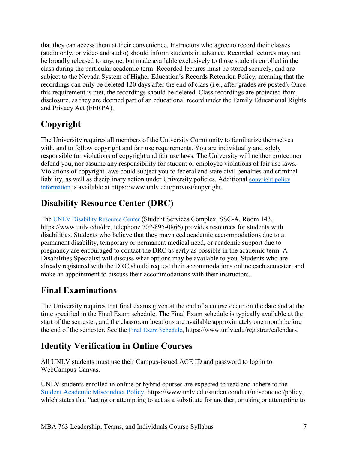that they can access them at their convenience. Instructors who agree to record their classes (audio only, or video and audio) should inform students in advance. Recorded lectures may not be broadly released to anyone, but made available exclusively to those students enrolled in the class during the particular academic term. Recorded lectures must be stored securely, and are subject to the Nevada System of Higher Education's Records Retention Policy, meaning that the recordings can only be deleted 120 days after the end of class (i.e., after grades are posted). Once this requirement is met, the recordings should be deleted. Class recordings are protected from disclosure, as they are deemed part of an educational record under the Family Educational Rights and Privacy Act (FERPA).

# **Copyright**

liability, as well as disciplinary action under University policies. Additional copyright policy The University requires all members of the University Community to familiarize themselves with, and to follow copyright and fair use requirements. You are individually and solely responsible for violations of copyright and fair use laws. The University will neither protect nor defend you, nor assume any responsibility for student or employee violations of fair use laws. Violations of copyright laws could subject you to federal and state civil penalties and criminal [information](http://www.unlv.edu/provost/copyright) is available at [https://www.unlv.edu/provost/copyright.](https://www.unlv.edu/provost/copyright)

# **Disability Resource Center (DRC)**

The **UNLV Disability Resource Center** (Student Services Complex, SSC-A, Room 143, [https://www.unlv.edu/drc,](https://www.unlv.edu/drc) telephone 702-895-0866) provides resources for students with disabilities. Students who believe that they may need academic accommodations due to a permanent disability, temporary or permanent medical need, or academic support due to pregnancy are encouraged to contact the DRC as early as possible in the academic term. A Disabilities Specialist will discuss what options may be available to you. Students who are already registered with the DRC should request their accommodations online each semester, and make an appointment to discuss their accommodations with their instructors.

### **Final Examinations**

The University requires that final exams given at the end of a course occur on the date and at the time specified in the Final Exam schedule. The Final Exam schedule is typically available at the start of the semester, and the classroom locations are available approximately one month before the end of the semester. See the [Final Exam Schedule,](https://www.unlv.edu/registrar/calendars) [https://www.unlv.edu/registrar/calendars.](https://www.unlv.edu/registrar/calendars)

### **Identity Verification in Online Courses**

All UNLV students must use their Campus-issued ACE ID and password to log in to WebCampus-Canvas.

UNLV students enrolled in online or hybrid courses are expected to read and adhere to the [Student Academic Misconduct Policy,](https://www.unlv.edu/studentconduct/misconduct/policy) [https://www.unlv.edu/studentconduct/misconduct/policy,](https://www.unlv.edu/studentconduct/misconduct/policy) which states that "acting or attempting to act as a substitute for another, or using or attempting to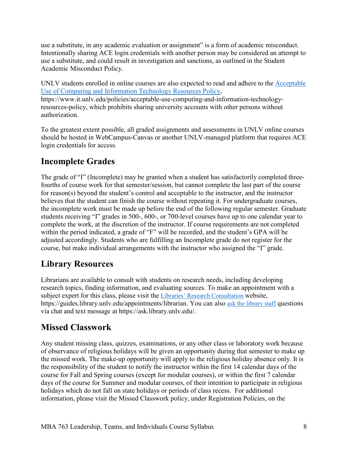Intentionally sharing ACE login credentials with another person may be considered an attempt to use a substitute, in any academic evaluation or assignment" is a form of academic misconduct. use a substitute, and could result in investigation and sanctions, as outlined in the Student Academic Misconduct Policy.

UNLV students enrolled in online courses are also expected to read and adhere to the [Acceptable](https://www.it.unlv.edu/policies/acceptable-use-computing-and-information-technology-resources-policy)  [Use of Computing and Information Technology Resources Policy,](https://www.it.unlv.edu/policies/acceptable-use-computing-and-information-technology-resources-policy) <https://www.it.unlv.edu/policies/acceptable-use-computing-and-information-technology>resources-policy, which prohibits sharing university accounts with other persons without authorization.

To the greatest extent possible, all graded assignments and assessments in UNLV online courses should be hosted in WebCampus-Canvas or another UNLV-managed platform that requires ACE login credentials for access.

## **Incomplete Grades**

 students receiving "I" grades in 500-, 600-, or 700-level courses have up to one calendar year to within the period indicated, a grade of "F" will be recorded, and the student's GPA will be course, but make individual arrangements with the instructor who assigned the "I" grade. The grade of "I" (Incomplete) may be granted when a student has satisfactorily completed threefourths of course work for that semester/session, but cannot complete the last part of the course for reason(s) beyond the student's control and acceptable to the instructor, and the instructor believes that the student can finish the course without repeating it. For undergraduate courses, the incomplete work must be made up before the end of the following regular semester. Graduate complete the work, at the discretion of the instructor. If course requirements are not completed adjusted accordingly. Students who are fulfilling an Incomplete grade do not register for the

### **Library Resources**

<https://guides.library.unlv.edu/appointments/librarian>. You can also [ask the library staff](http://ask.library.unlv.edu/) questions Librarians are available to consult with students on research needs, including developing research topics, finding information, and evaluating sources. To make an appointment with a subject expert for this class, please visit the [Libraries' Research Consultation](http://guides.library.unlv.edu/appointments/librarian) website, via chat and text message at<https://ask.library.unlv.edu>/.

### **Missed Classwork**

Any student missing class, quizzes, examinations, or any other class or laboratory work because of observance of religious holidays will be given an opportunity during that semester to make up the missed work. The make-up opportunity will apply to the religious holiday absence only. It is the responsibility of the student to notify the instructor within the first 14 calendar days of the course for Fall and Spring courses (except for modular courses), or within the first 7 calendar days of the course for Summer and modular courses, of their intention to participate in religious holidays which do not fall on state holidays or periods of class recess. For additional information, please visit the Missed Classwork policy, under Registration Policies, on the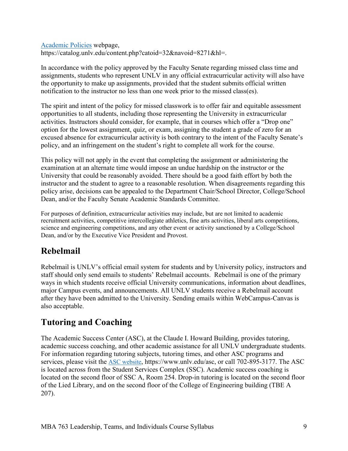[Academic Policies](https://catalog.unlv.edu/content.php?catoid=32&navoid=8271&hl=) webpage, <https://catalog.unlv.edu/content.php?catoid=32&navoid=8271&hl>=.

In accordance with the policy approved by the Faculty Senate regarding missed class time and assignments, students who represent UNLV in any official extracurricular activity will also have the opportunity to make up assignments, provided that the student submits official written notification to the instructor no less than one week prior to the missed class(es).

 The spirit and intent of the policy for missed classwork is to offer fair and equitable assessment activities. Instructors should consider, for example, that in courses which offer a "Drop one" opportunities to all students, including those representing the University in extracurricular option for the lowest assignment, quiz, or exam, assigning the student a grade of zero for an excused absence for extracurricular activity is both contrary to the intent of the Faculty Senate's policy, and an infringement on the student's right to complete all work for the course.

 instructor and the student to agree to a reasonable resolution. When disagreements regarding this This policy will not apply in the event that completing the assignment or administering the examination at an alternate time would impose an undue hardship on the instructor or the University that could be reasonably avoided. There should be a good faith effort by both the policy arise, decisions can be appealed to the Department Chair/School Director, College/School Dean, and/or the Faculty Senate Academic Standards Committee.

For purposes of definition, extracurricular activities may include, but are not limited to academic recruitment activities, competitive intercollegiate athletics, fine arts activities, liberal arts competitions, science and engineering competitions, and any other event or activity sanctioned by a College/School Dean, and/or by the Executive Vice President and Provost.

# **Rebelmail**

 Rebelmail is UNLV's official email system for students and by University policy, instructors and staff should only send emails to students' Rebelmail accounts. Rebelmail is one of the primary ways in which students receive official University communications, information about deadlines, major Campus events, and announcements. All UNLV students receive a Rebelmail account after they have been admitted to the University. Sending emails within WebCampus-Canvas is also acceptable.

# **Tutoring and Coaching**

 The Academic Success Center (ASC), at the Claude I. Howard Building, provides tutoring, academic success coaching, and other academic assistance for all UNLV undergraduate students. For information regarding tutoring subjects, tutoring times, and other ASC programs and services, please visit the [ASC website,](https://www.unlv.edu/asc) <https://www.unlv.edu/asc>, or call 702-895-3177. The ASC is located across from the Student Services Complex (SSC). Academic success coaching is located on the second floor of SSC A, Room 254. Drop-in tutoring is located on the second floor of the Lied Library, and on the second floor of the College of Engineering building (TBE A 207).